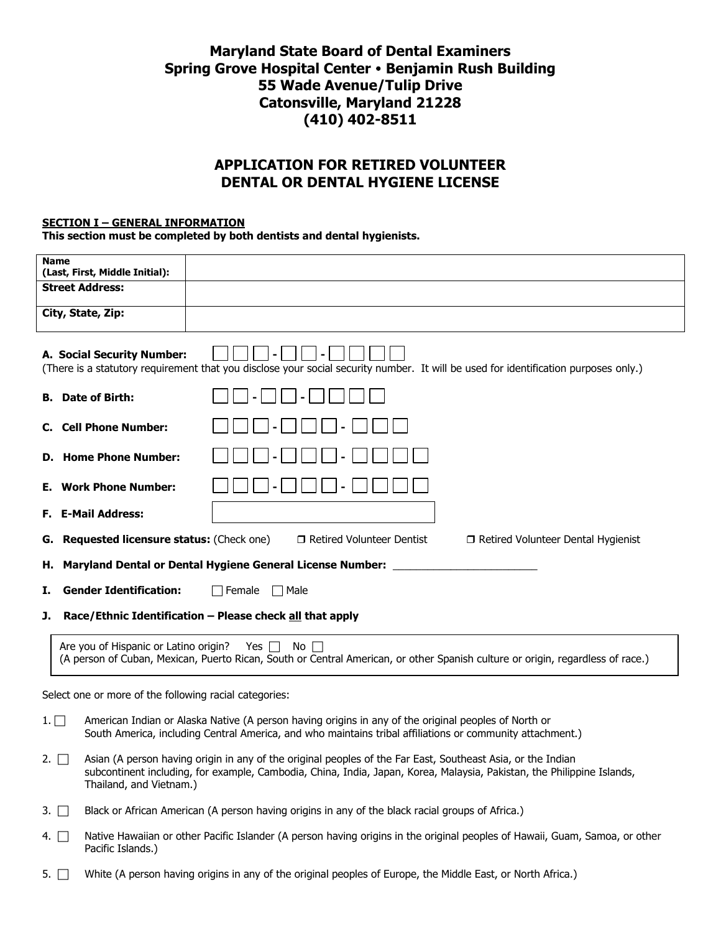# **Maryland State Board of Dental Examiners Spring Grove Hospital Center • Benjamin Rush Building 55 Wade Avenue/Tulip Drive Catonsville, Maryland 21228 (410) 402-8511**

# **APPLICATION FOR RETIRED VOLUNTEER DENTAL OR DENTAL HYGIENE LICENSE**

#### **SECTION I – GENERAL INFORMATION**

**This section must be completed by both dentists and dental hygienists.** 

| <b>Name</b><br>(Last, First, Middle Initial):                                                                                                                                                                                  |                                                                                                                                                                                                                                       |  |  |  |
|--------------------------------------------------------------------------------------------------------------------------------------------------------------------------------------------------------------------------------|---------------------------------------------------------------------------------------------------------------------------------------------------------------------------------------------------------------------------------------|--|--|--|
| <b>Street Address:</b>                                                                                                                                                                                                         |                                                                                                                                                                                                                                       |  |  |  |
| City, State, Zip:                                                                                                                                                                                                              |                                                                                                                                                                                                                                       |  |  |  |
| A. Social Security Number:<br>(There is a statutory requirement that you disclose your social security number. It will be used for identification purposes only.)                                                              |                                                                                                                                                                                                                                       |  |  |  |
| <b>B.</b> Date of Birth:                                                                                                                                                                                                       |                                                                                                                                                                                                                                       |  |  |  |
| <b>Cell Phone Number:</b><br>C.                                                                                                                                                                                                |                                                                                                                                                                                                                                       |  |  |  |
| D. Home Phone Number:                                                                                                                                                                                                          |                                                                                                                                                                                                                                       |  |  |  |
| <b>Work Phone Number:</b><br>Е.                                                                                                                                                                                                |                                                                                                                                                                                                                                       |  |  |  |
| <b>F.</b> E-Mail Address:                                                                                                                                                                                                      |                                                                                                                                                                                                                                       |  |  |  |
| Requested licensure status: (Check one)<br>G.                                                                                                                                                                                  | □ Retired Volunteer Dentist<br>□ Retired Volunteer Dental Hygienist                                                                                                                                                                   |  |  |  |
| н.                                                                                                                                                                                                                             | <b>Maryland Dental or Dental Hygiene General License Number:</b>                                                                                                                                                                      |  |  |  |
| <b>Gender Identification:</b><br>Ι.                                                                                                                                                                                            | Female<br>  Male                                                                                                                                                                                                                      |  |  |  |
| J.                                                                                                                                                                                                                             | Race/Ethnic Identification - Please check all that apply                                                                                                                                                                              |  |  |  |
| Are you of Hispanic or Latino origin?<br>Yes  <br>No $\Box$<br>(A person of Cuban, Mexican, Puerto Rican, South or Central American, or other Spanish culture or origin, regardless of race.)                                  |                                                                                                                                                                                                                                       |  |  |  |
| Select one or more of the following racial categories:                                                                                                                                                                         |                                                                                                                                                                                                                                       |  |  |  |
| American Indian or Alaska Native (A person having origins in any of the original peoples of North or<br>$1. \Box$<br>South America, including Central America, and who maintains tribal affiliations or community attachment.) |                                                                                                                                                                                                                                       |  |  |  |
| $2. \Box$<br>Thailand, and Vietnam.)                                                                                                                                                                                           | Asian (A person having origin in any of the original peoples of the Far East, Southeast Asia, or the Indian<br>subcontinent including, for example, Cambodia, China, India, Japan, Korea, Malaysia, Pakistan, the Philippine Islands, |  |  |  |
| 3.                                                                                                                                                                                                                             | Black or African American (A person having origins in any of the black racial groups of Africa.)                                                                                                                                      |  |  |  |

- 4. <sup>Native</sup> Hawaiian or other Pacific Islander (A person having origins in the original peoples of Hawaii, Guam, Samoa, or other Pacific Islands.)
- 5.  $\Box$  White (A person having origins in any of the original peoples of Europe, the Middle East, or North Africa.)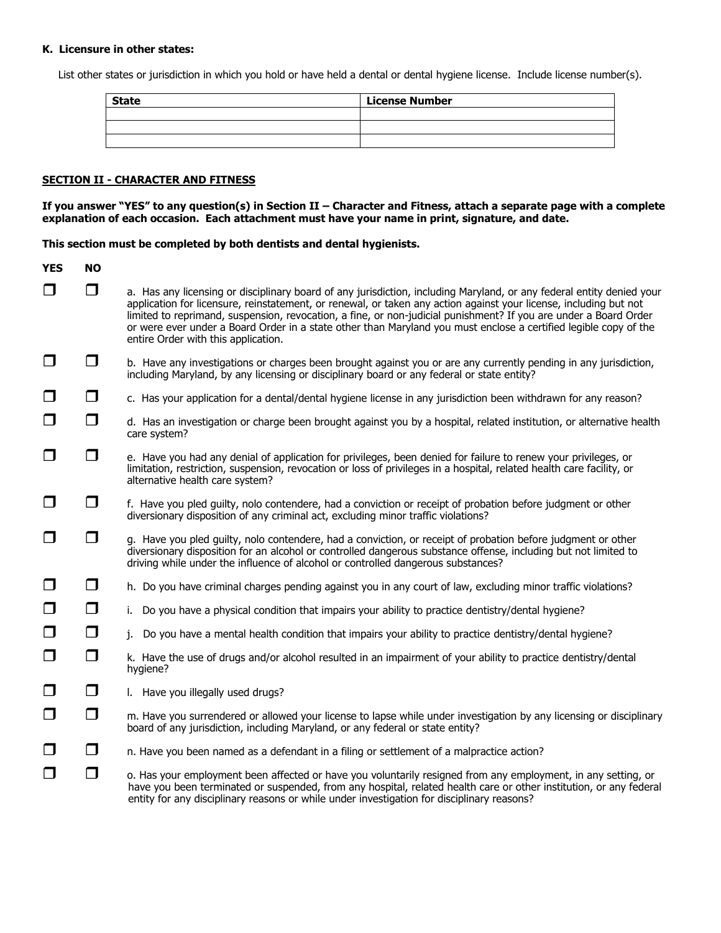#### **K. Licensure in other states:**

List other states or jurisdiction in which you hold or have held a dental or dental hygiene license. Include license number(s).

| <b>State</b> | <b>License Number</b> |
|--------------|-----------------------|
|              |                       |
|              |                       |
|              |                       |

#### **SECTION II - CHARACTER AND FITNESS**

**If you answer "YES" to any question(s) in Section II – Character and Fitness, attach a separate page with a complete explanation of each occasion. Each attachment must have your name in print, signature, and date.**

**This section must be completed by both dentists and dental hygienists.**

| <b>YES</b> | <b>NO</b> |                                                                                                                                                                                                                                                                                                                                                                                                                                                                                                                           |  |
|------------|-----------|---------------------------------------------------------------------------------------------------------------------------------------------------------------------------------------------------------------------------------------------------------------------------------------------------------------------------------------------------------------------------------------------------------------------------------------------------------------------------------------------------------------------------|--|
| $\Box$     | □         | a. Has any licensing or disciplinary board of any jurisdiction, including Maryland, or any federal entity denied your<br>application for licensure, reinstatement, or renewal, or taken any action against your license, including but not<br>limited to reprimand, suspension, revocation, a fine, or non-judicial punishment? If you are under a Board Order<br>or were ever under a Board Order in a state other than Maryland you must enclose a certified legible copy of the<br>entire Order with this application. |  |
| $\Box$     | $\Box$    | b. Have any investigations or charges been brought against you or are any currently pending in any jurisdiction,<br>including Maryland, by any licensing or disciplinary board or any federal or state entity?                                                                                                                                                                                                                                                                                                            |  |
| $\Box$     | $\Box$    | c. Has your application for a dental/dental hygiene license in any jurisdiction been withdrawn for any reason?                                                                                                                                                                                                                                                                                                                                                                                                            |  |
| $\Box$     | □         | d. Has an investigation or charge been brought against you by a hospital, related institution, or alternative health<br>care system?                                                                                                                                                                                                                                                                                                                                                                                      |  |
| $\Box$     | □         | e. Have you had any denial of application for privileges, been denied for failure to renew your privileges, or<br>limitation, restriction, suspension, revocation or loss of privileges in a hospital, related health care facility, or<br>alternative health care system?                                                                                                                                                                                                                                                |  |
| $\Box$     | $\Box$    | f. Have you pled guilty, nolo contendere, had a conviction or receipt of probation before judgment or other<br>diversionary disposition of any criminal act, excluding minor traffic violations?                                                                                                                                                                                                                                                                                                                          |  |
| $\Box$     | $\Box$    | g. Have you pled guilty, nolo contendere, had a conviction, or receipt of probation before judgment or other<br>diversionary disposition for an alcohol or controlled dangerous substance offense, including but not limited to<br>driving while under the influence of alcohol or controlled dangerous substances?                                                                                                                                                                                                       |  |
| $\Box$     | $\Box$    | h. Do you have criminal charges pending against you in any court of law, excluding minor traffic violations?                                                                                                                                                                                                                                                                                                                                                                                                              |  |
| $\Box$     | $\Box$    | i. Do you have a physical condition that impairs your ability to practice dentistry/dental hygiene?                                                                                                                                                                                                                                                                                                                                                                                                                       |  |
| $\Box$     | $\Box$    | Do you have a mental health condition that impairs your ability to practice dentistry/dental hygiene?<br>j.                                                                                                                                                                                                                                                                                                                                                                                                               |  |
| $\Box$     | $\Box$    | k. Have the use of drugs and/or alcohol resulted in an impairment of your ability to practice dentistry/dental<br>hygiene?                                                                                                                                                                                                                                                                                                                                                                                                |  |
| $\Box$     | $\Box$    | I. Have you illegally used drugs?                                                                                                                                                                                                                                                                                                                                                                                                                                                                                         |  |
| $\Box$     | $\Box$    | m. Have you surrendered or allowed your license to lapse while under investigation by any licensing or disciplinary<br>board of any jurisdiction, including Maryland, or any federal or state entity?                                                                                                                                                                                                                                                                                                                     |  |
| $\Box$     | $\Box$    | n. Have you been named as a defendant in a filing or settlement of a malpractice action?                                                                                                                                                                                                                                                                                                                                                                                                                                  |  |
| $\Box$     | $\Box$    | o. Has your employment been affected or have you voluntarily resigned from any employment, in any setting, or<br>have you been terminated or suspended, from any hospital, related health care or other institution, or any federal<br>entity for any disciplinary reasons or while under investigation for disciplinary reasons?                                                                                                                                                                                         |  |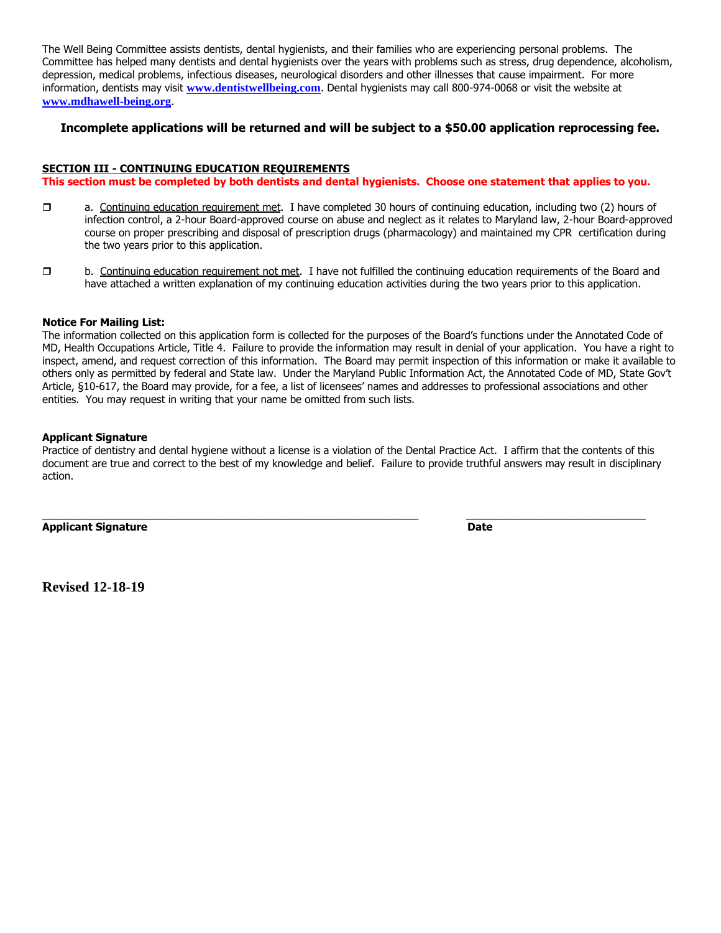The Well Being Committee assists dentists, dental hygienists, and their families who are experiencing personal problems. The Committee has helped many dentists and dental hygienists over the years with problems such as stress, drug dependence, alcoholism, depression, medical problems, infectious diseases, neurological disorders and other illnesses that cause impairment. For more information, dentists may visit **[www.dentistwellbeing.com](http://www.denistwellbeing,com/)**. Dental hygienists may call 800-974-0068 or visit the website at **[www.mdhawell-being.org](http://www.mdhawell-being.org/)**.

#### **Incomplete applications will be returned and will be subject to a \$50.00 application reprocessing fee.**

#### **SECTION III - CONTINUING EDUCATION REQUIREMENTS**

**This section must be completed by both dentists and dental hygienists. Choose one statement that applies to you.** 

- a. Continuing education requirement met. I have completed 30 hours of continuing education, including two (2) hours of infection control, a 2-hour Board-approved course on abuse and neglect as it relates to Maryland law, 2-hour Board-approved course on proper prescribing and disposal of prescription drugs (pharmacology) and maintained my CPR certification during the two years prior to this application.
- $\Box$  b. Continuing education requirement not met. I have not fulfilled the continuing education requirements of the Board and have attached a written explanation of my continuing education activities during the two years prior to this application.

#### **Notice For Mailing List:**

The information collected on this application form is collected for the purposes of the Board's functions under the Annotated Code of MD, Health Occupations Article, Title 4. Failure to provide the information may result in denial of your application. You have a right to inspect, amend, and request correction of this information. The Board may permit inspection of this information or make it available to others only as permitted by federal and State law. Under the Maryland Public Information Act, the Annotated Code of MD, State Gov't Article, §10-617, the Board may provide, for a fee, a list of licensees' names and addresses to professional associations and other entities. You may request in writing that your name be omitted from such lists.

#### **Applicant Signature**

Practice of dentistry and dental hygiene without a license is a violation of the Dental Practice Act. I affirm that the contents of this document are true and correct to the best of my knowledge and belief. Failure to provide truthful answers may result in disciplinary action.

 $\_$  ,  $\_$  ,  $\_$  ,  $\_$  ,  $\_$  ,  $\_$  ,  $\_$  ,  $\_$  ,  $\_$  ,  $\_$  ,  $\_$  ,  $\_$  ,  $\_$  ,  $\_$  ,  $\_$  ,  $\_$  ,  $\_$  ,  $\_$  ,  $\_$  ,  $\_$  ,  $\_$  ,  $\_$  ,  $\_$  ,  $\_$  ,  $\_$  ,  $\_$  ,  $\_$  ,  $\_$  ,  $\_$  ,  $\_$  ,  $\_$  ,  $\_$  ,  $\_$  ,  $\_$  ,  $\_$  ,  $\_$  ,  $\_$  ,

**Applicant Signature Date** 

**Revised 12-18-19**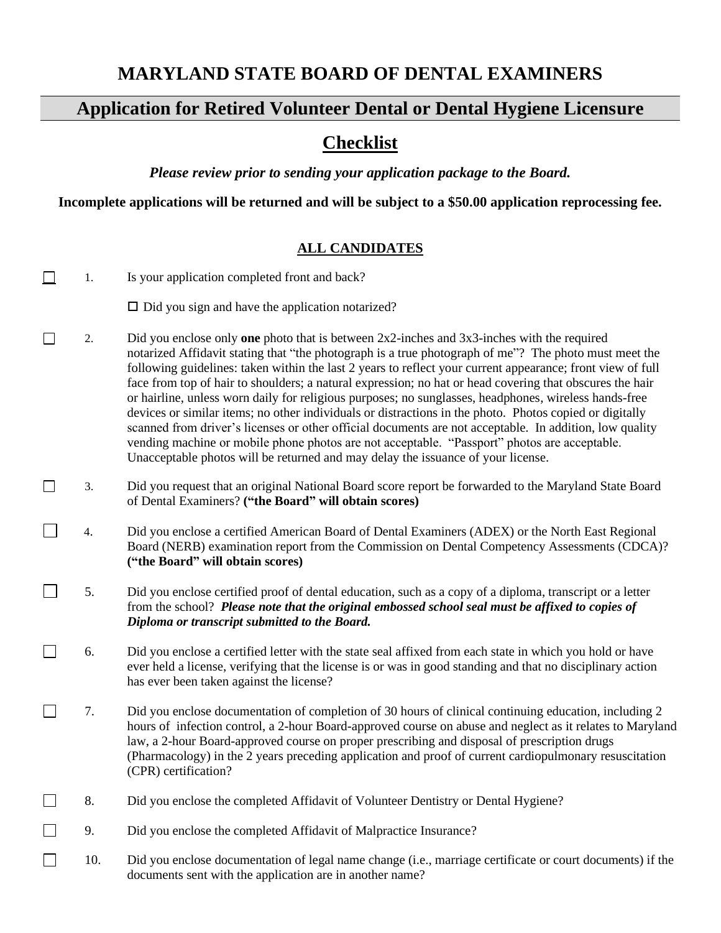# **MARYLAND STATE BOARD OF DENTAL EXAMINERS**

# **Application for Retired Volunteer Dental or Dental Hygiene Licensure**

# **Checklist**

*Please review prior to sending your application package to the Board.*

**Incomplete applications will be returned and will be subject to a \$50.00 application reprocessing fee.**

# **ALL CANDIDATES**

| 1.     |     | Is your application completed front and back?                                                                                                                                                                                                                                                                                                                                                                                                                                                                                                                                                                                                                                                                                                                                                                                                                                                                                                          |  |
|--------|-----|--------------------------------------------------------------------------------------------------------------------------------------------------------------------------------------------------------------------------------------------------------------------------------------------------------------------------------------------------------------------------------------------------------------------------------------------------------------------------------------------------------------------------------------------------------------------------------------------------------------------------------------------------------------------------------------------------------------------------------------------------------------------------------------------------------------------------------------------------------------------------------------------------------------------------------------------------------|--|
|        |     | $\Box$ Did you sign and have the application notarized?                                                                                                                                                                                                                                                                                                                                                                                                                                                                                                                                                                                                                                                                                                                                                                                                                                                                                                |  |
| $\Box$ | 2.  | Did you enclose only one photo that is between $2x2$ -inches and $3x3$ -inches with the required<br>notarized Affidavit stating that "the photograph is a true photograph of me"? The photo must meet the<br>following guidelines: taken within the last 2 years to reflect your current appearance; front view of full<br>face from top of hair to shoulders; a natural expression; no hat or head covering that obscures the hair<br>or hairline, unless worn daily for religious purposes; no sunglasses, headphones, wireless hands-free<br>devices or similar items; no other individuals or distractions in the photo. Photos copied or digitally<br>scanned from driver's licenses or other official documents are not acceptable. In addition, low quality<br>vending machine or mobile phone photos are not acceptable. "Passport" photos are acceptable.<br>Unacceptable photos will be returned and may delay the issuance of your license. |  |
| $\Box$ | 3.  | Did you request that an original National Board score report be forwarded to the Maryland State Board<br>of Dental Examiners? ("the Board" will obtain scores)                                                                                                                                                                                                                                                                                                                                                                                                                                                                                                                                                                                                                                                                                                                                                                                         |  |
|        | 4.  | Did you enclose a certified American Board of Dental Examiners (ADEX) or the North East Regional<br>Board (NERB) examination report from the Commission on Dental Competency Assessments (CDCA)?<br>("the Board" will obtain scores)                                                                                                                                                                                                                                                                                                                                                                                                                                                                                                                                                                                                                                                                                                                   |  |
|        | 5.  | Did you enclose certified proof of dental education, such as a copy of a diploma, transcript or a letter<br>from the school? Please note that the original embossed school seal must be affixed to copies of<br>Diploma or transcript submitted to the Board.                                                                                                                                                                                                                                                                                                                                                                                                                                                                                                                                                                                                                                                                                          |  |
|        | 6.  | Did you enclose a certified letter with the state seal affixed from each state in which you hold or have<br>ever held a license, verifying that the license is or was in good standing and that no disciplinary action<br>has ever been taken against the license?                                                                                                                                                                                                                                                                                                                                                                                                                                                                                                                                                                                                                                                                                     |  |
|        | 7.  | Did you enclose documentation of completion of 30 hours of clinical continuing education, including 2<br>hours of infection control, a 2-hour Board-approved course on abuse and neglect as it relates to Maryland<br>law, a 2-hour Board-approved course on proper prescribing and disposal of prescription drugs<br>(Pharmacology) in the 2 years preceding application and proof of current cardiopulmonary resuscitation<br>(CPR) certification?                                                                                                                                                                                                                                                                                                                                                                                                                                                                                                   |  |
|        | 8.  | Did you enclose the completed Affidavit of Volunteer Dentistry or Dental Hygiene?                                                                                                                                                                                                                                                                                                                                                                                                                                                                                                                                                                                                                                                                                                                                                                                                                                                                      |  |
|        | 9.  | Did you enclose the completed Affidavit of Malpractice Insurance?                                                                                                                                                                                                                                                                                                                                                                                                                                                                                                                                                                                                                                                                                                                                                                                                                                                                                      |  |
| $\Box$ | 10. | Did you enclose documentation of legal name change (i.e., marriage certificate or court documents) if the<br>documents sent with the application are in another name?                                                                                                                                                                                                                                                                                                                                                                                                                                                                                                                                                                                                                                                                                                                                                                                  |  |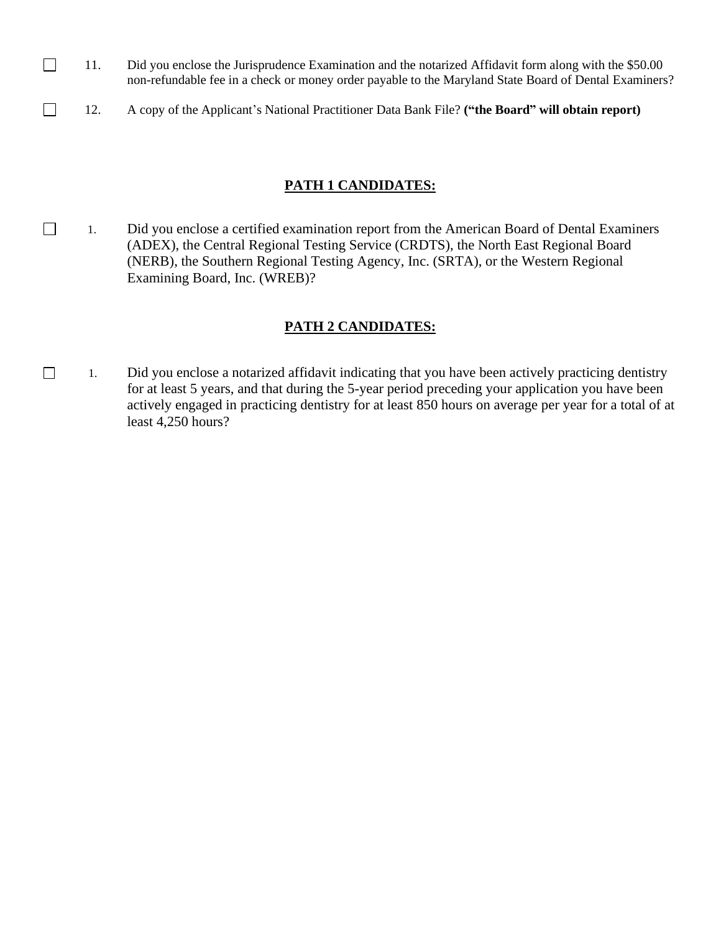- $\Box$ 11. Did you enclose the Jurisprudence Examination and the notarized Affidavit form along with the \$50.00 non-refundable fee in a check or money order payable to the Maryland State Board of Dental Examiners?
- $\Box$ 12. A copy of the Applicant's National Practitioner Data Bank File? **("the Board" will obtain report)**

## **PATH 1 CANDIDATES:**

1. Did you enclose a certified examination report from the American Board of Dental Examiners (ADEX), the Central Regional Testing Service (CRDTS), the North East Regional Board (NERB), the Southern Regional Testing Agency, Inc. (SRTA), or the Western Regional Examining Board, Inc. (WREB)?

## **PATH 2 CANDIDATES:**

□ 1. Did you enclose a notarized affidavit indicating that you have been actively practicing dentistry for at least 5 years, and that during the 5-year period preceding your application you have been actively engaged in practicing dentistry for at least 850 hours on average per year for a total of at least 4,250 hours?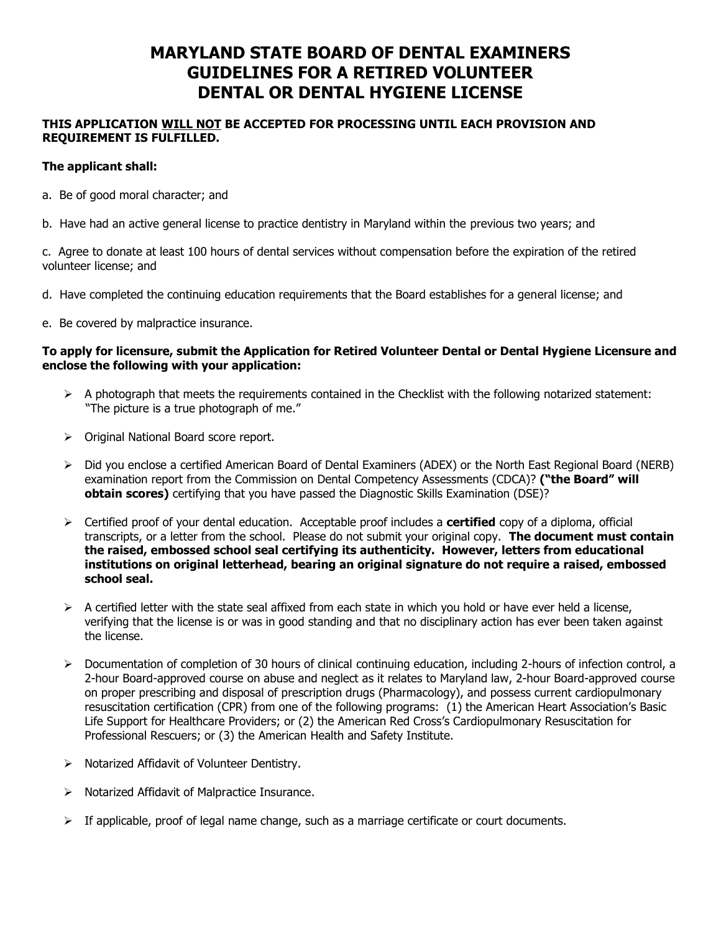# **MARYLAND STATE BOARD OF DENTAL EXAMINERS GUIDELINES FOR A RETIRED VOLUNTEER DENTAL OR DENTAL HYGIENE LICENSE**

## **THIS APPLICATION WILL NOT BE ACCEPTED FOR PROCESSING UNTIL EACH PROVISION AND REQUIREMENT IS FULFILLED.**

## **The applicant shall:**

a. Be of good moral character; and

b. Have had an active general license to practice dentistry in Maryland within the previous two years; and

c. Agree to donate at least 100 hours of dental services without compensation before the expiration of the retired volunteer license; and

- d. Have completed the continuing education requirements that the Board establishes for a general license; and
- e. Be covered by malpractice insurance.

## **To apply for licensure, submit the Application for Retired Volunteer Dental or Dental Hygiene Licensure and enclose the following with your application:**

- $\triangleright$  A photograph that meets the requirements contained in the Checklist with the following notarized statement: "The picture is a true photograph of me."
- ➢ Original National Board score report.
- ➢ Did you enclose a certified American Board of Dental Examiners (ADEX) or the North East Regional Board (NERB) examination report from the Commission on Dental Competency Assessments (CDCA)? **("the Board" will obtain scores)** certifying that you have passed the Diagnostic Skills Examination (DSE)?
- ➢ Certified proof of your dental education. Acceptable proof includes a **certified** copy of a diploma, official transcripts, or a letter from the school. Please do not submit your original copy. **The document must contain the raised, embossed school seal certifying its authenticity. However, letters from educational institutions on original letterhead, bearing an original signature do not require a raised, embossed school seal.**
- $\triangleright$  A certified letter with the state seal affixed from each state in which you hold or have ever held a license, verifying that the license is or was in good standing and that no disciplinary action has ever been taken against the license.
- $\triangleright$  Documentation of completion of 30 hours of clinical continuing education, including 2-hours of infection control, a 2-hour Board-approved course on abuse and neglect as it relates to Maryland law, 2-hour Board-approved course on proper prescribing and disposal of prescription drugs (Pharmacology), and possess current cardiopulmonary resuscitation certification (CPR) from one of the following programs: (1) the American Heart Association's Basic Life Support for Healthcare Providers; or (2) the American Red Cross's Cardiopulmonary Resuscitation for Professional Rescuers; or (3) the American Health and Safety Institute.
- ➢ Notarized Affidavit of Volunteer Dentistry.
- ➢ Notarized Affidavit of Malpractice Insurance.
- $\triangleright$  If applicable, proof of legal name change, such as a marriage certificate or court documents.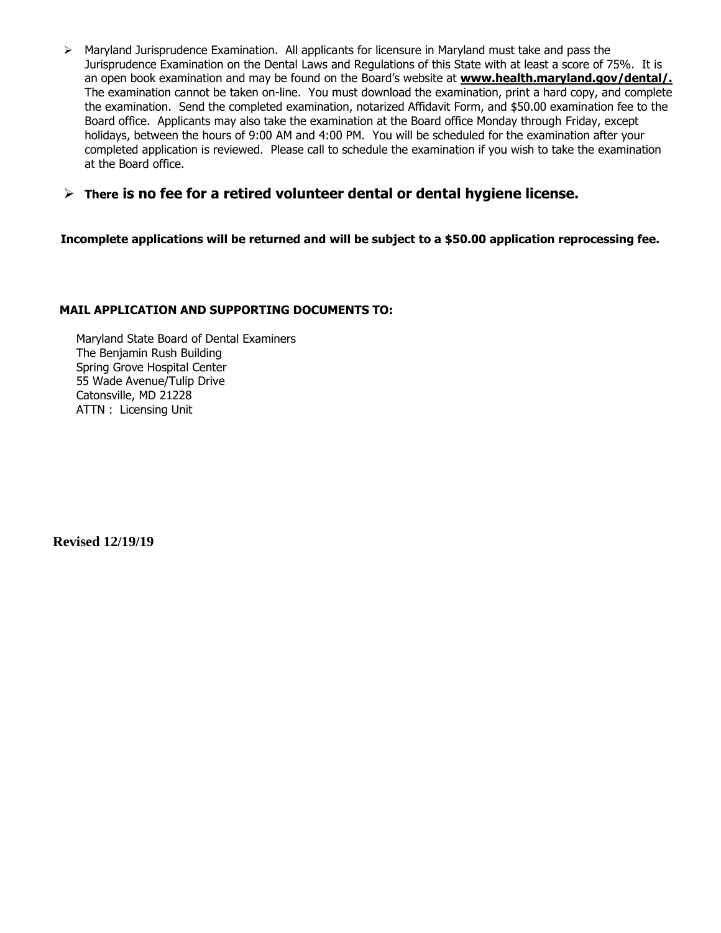- $\triangleright$  Maryland Jurisprudence Examination. All applicants for licensure in Maryland must take and pass the Jurisprudence Examination on the Dental Laws and Regulations of this State with at least a score of 75%. It is an open book examination and may be found on the Board's website at **www.health.maryland.gov/dental/.** The examination cannot be taken on-line. You must download the examination, print a hard copy, and complete the examination. Send the completed examination, notarized Affidavit Form, and \$50.00 examination fee to the Board office. Applicants may also take the examination at the Board office Monday through Friday, except holidays, between the hours of 9:00 AM and 4:00 PM. You will be scheduled for the examination after your completed application is reviewed. Please call to schedule the examination if you wish to take the examination at the Board office.
- ➢ **There is no fee for a retired volunteer dental or dental hygiene license.**

**Incomplete applications will be returned and will be subject to a \$50.00 application reprocessing fee.**

## **MAIL APPLICATION AND SUPPORTING DOCUMENTS TO:**

Maryland State Board of Dental Examiners The Benjamin Rush Building Spring Grove Hospital Center 55 Wade Avenue/Tulip Drive Catonsville, MD 21228 ATTN : Licensing Unit

 **Revised 12/19/19**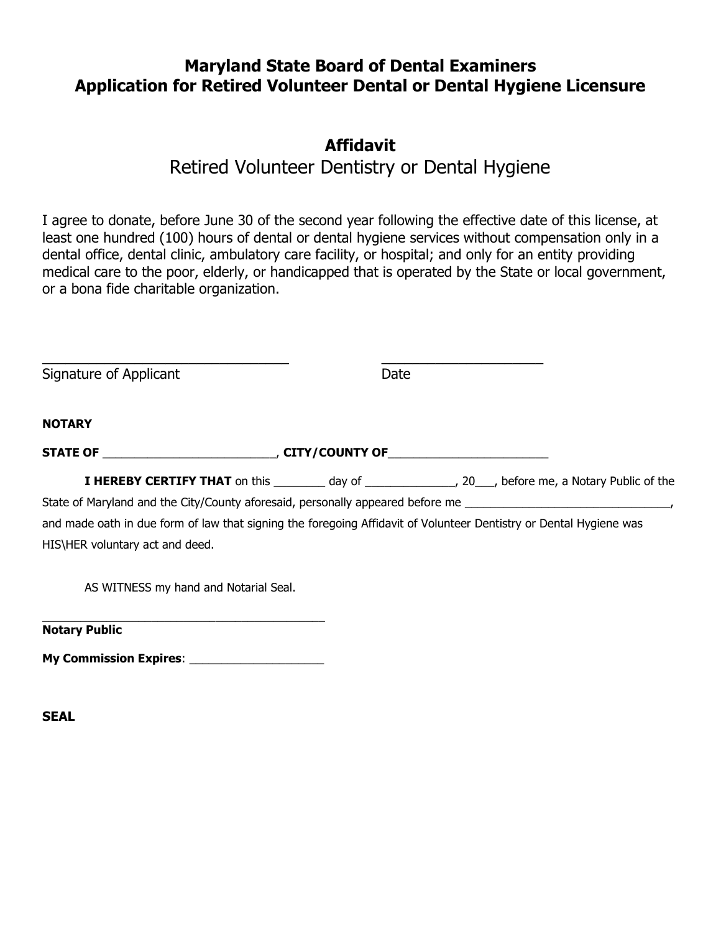# **Maryland State Board of Dental Examiners Application for Retired Volunteer Dental or Dental Hygiene Licensure**

# **Affidavit**

# Retired Volunteer Dentistry or Dental Hygiene

I agree to donate, before June 30 of the second year following the effective date of this license, at least one hundred (100) hours of dental or dental hygiene services without compensation only in a dental office, dental clinic, ambulatory care facility, or hospital; and only for an entity providing medical care to the poor, elderly, or handicapped that is operated by the State or local government, or a bona fide charitable organization.

| Signature of Applicant                                                                                             | Date |                                                                                                                    |
|--------------------------------------------------------------------------------------------------------------------|------|--------------------------------------------------------------------------------------------------------------------|
| <b>NOTARY</b>                                                                                                      |      |                                                                                                                    |
|                                                                                                                    |      |                                                                                                                    |
|                                                                                                                    |      | <b>I HEREBY CERTIFY THAT</b> on this __________ day of _________________, 20___, before me, a Notary Public of the |
|                                                                                                                    |      |                                                                                                                    |
| and made oath in due form of law that signing the foregoing Affidavit of Volunteer Dentistry or Dental Hygiene was |      |                                                                                                                    |
| HIS\HER voluntary act and deed.                                                                                    |      |                                                                                                                    |
| AS WITNESS my hand and Notarial Seal.                                                                              |      |                                                                                                                    |
| <b>Notary Public</b>                                                                                               |      |                                                                                                                    |

**My Commission Expires**: \_\_\_\_\_\_\_\_\_\_\_\_\_\_\_\_\_\_\_\_\_

**SEAL**